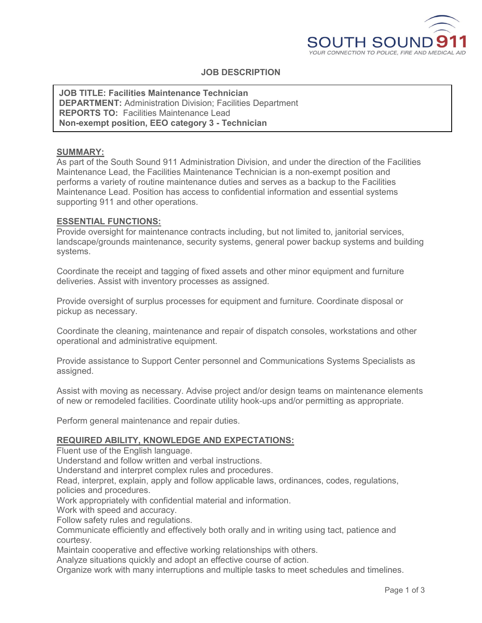

# **JOB DESCRIPTION**

**JOB TITLE: Facilities Maintenance Technician DEPARTMENT:** Administration Division; Facilities Department **REPORTS TO:** Facilities Maintenance Lead **Non-exempt position, EEO category 3 - Technician**

#### **SUMMARY:**

As part of the South Sound 911 Administration Division, and under the direction of the Facilities Maintenance Lead, the Facilities Maintenance Technician is a non-exempt position and performs a variety of routine maintenance duties and serves as a backup to the Facilities Maintenance Lead. Position has access to confidential information and essential systems supporting 911 and other operations.

#### **ESSENTIAL FUNCTIONS:**

Provide oversight for maintenance contracts including, but not limited to, janitorial services, landscape/grounds maintenance, security systems, general power backup systems and building systems.

Coordinate the receipt and tagging of fixed assets and other minor equipment and furniture deliveries. Assist with inventory processes as assigned.

Provide oversight of surplus processes for equipment and furniture. Coordinate disposal or pickup as necessary.

Coordinate the cleaning, maintenance and repair of dispatch consoles, workstations and other operational and administrative equipment.

Provide assistance to Support Center personnel and Communications Systems Specialists as assigned.

Assist with moving as necessary. Advise project and/or design teams on maintenance elements of new or remodeled facilities. Coordinate utility hook-ups and/or permitting as appropriate.

Perform general maintenance and repair duties.

#### **REQUIRED ABILITY, KNOWLEDGE AND EXPECTATIONS:**

Fluent use of the English language.

Understand and follow written and verbal instructions.

Understand and interpret complex rules and procedures.

Read, interpret, explain, apply and follow applicable laws, ordinances, codes, regulations, policies and procedures.

Work appropriately with confidential material and information.

Work with speed and accuracy.

Follow safety rules and regulations.

Communicate efficiently and effectively both orally and in writing using tact, patience and courtesy.

Maintain cooperative and effective working relationships with others.

Analyze situations quickly and adopt an effective course of action.

Organize work with many interruptions and multiple tasks to meet schedules and timelines.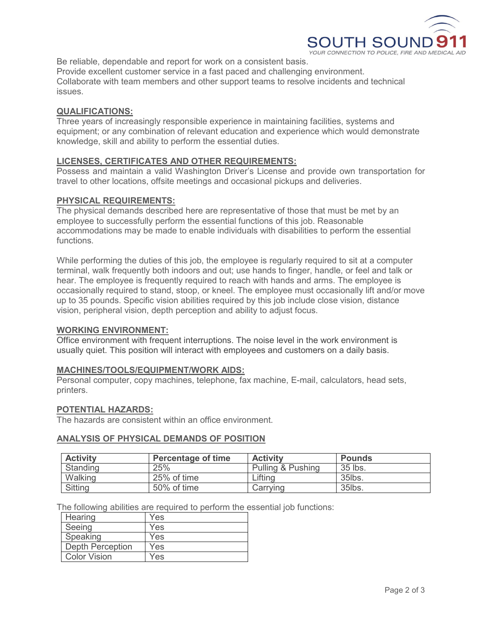

Be reliable, dependable and report for work on a consistent basis. Provide excellent customer service in a fast paced and challenging environment. Collaborate with team members and other support teams to resolve incidents and technical issues.

# **QUALIFICATIONS:**

Three years of increasingly responsible experience in maintaining facilities, systems and equipment; or any combination of relevant education and experience which would demonstrate knowledge, skill and ability to perform the essential duties.

### **LICENSES, CERTIFICATES AND OTHER REQUIREMENTS:**

Possess and maintain a valid Washington Driver's License and provide own transportation for travel to other locations, offsite meetings and occasional pickups and deliveries.

### **PHYSICAL REQUIREMENTS:**

The physical demands described here are representative of those that must be met by an employee to successfully perform the essential functions of this job. Reasonable accommodations may be made to enable individuals with disabilities to perform the essential functions.

While performing the duties of this job, the employee is regularly required to sit at a computer terminal, walk frequently both indoors and out; use hands to finger, handle, or feel and talk or hear. The employee is frequently required to reach with hands and arms. The employee is occasionally required to stand, stoop, or kneel. The employee must occasionally lift and/or move up to 35 pounds. Specific vision abilities required by this job include close vision, distance vision, peripheral vision, depth perception and ability to adjust focus.

### **WORKING ENVIRONMENT:**

Office environment with frequent interruptions. The noise level in the work environment is usually quiet. This position will interact with employees and customers on a daily basis.

### **MACHINES/TOOLS/EQUIPMENT/WORK AIDS:**

Personal computer, copy machines, telephone, fax machine, E-mail, calculators, head sets, printers.

#### **POTENTIAL HAZARDS:**

The hazards are consistent within an office environment.

### **ANALYSIS OF PHYSICAL DEMANDS OF POSITION**

| <b>Activity</b> | <b>Percentage of time</b> | <b>Activity</b>   | <b>Pounds</b> |
|-----------------|---------------------------|-------------------|---------------|
| Standing        | 25%                       | Pulling & Pushing | 35 lbs.       |
| Walking         | 25% of time               | Lifting           | $35$ lbs.     |
| <b>Sitting</b>  | 50% of time               | Carrving          | 35lbs.        |

The following abilities are required to perform the essential job functions:

| Hearing                 | Yes |
|-------------------------|-----|
| Seeing                  | Yes |
| Speaking                | Yes |
| <b>Depth Perception</b> | Yes |
| <b>Color Vision</b>     | Yes |